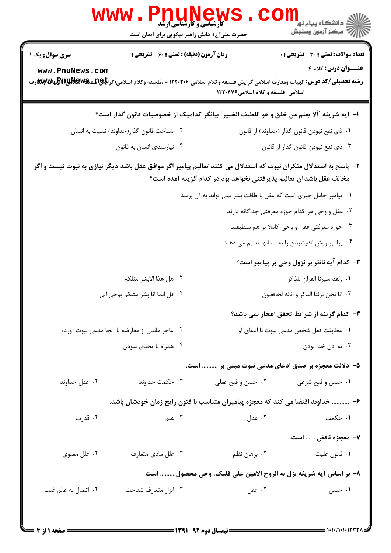|                                                                                                                                                                                         | www<br><b>کارشناسی و کارشناسی ارشد</b><br>حضرت علی(ع): دانش راهبر نیکویی برای ایمان است                                                        |                                                     | ڪ دانشڪاه پيام نور<br>7- مرڪز آزمون وسنڊش           |  |  |
|-----------------------------------------------------------------------------------------------------------------------------------------------------------------------------------------|------------------------------------------------------------------------------------------------------------------------------------------------|-----------------------------------------------------|-----------------------------------------------------|--|--|
| <b>سری سوال :</b> یک ۱                                                                                                                                                                  | <b>زمان آزمون (دقیقه) : تستی : 60 ٪ تشریحی : 0</b>                                                                                             |                                                     | <b>تعداد سوالات : تستی : 30 ٪ تشریحی : 0</b>        |  |  |
| www.PnuNews.com                                                                                                                                                                         | <b>رشته تحصیلی/کد درس:</b> الهیات ومعارف اسلامی گرایش فلسفه وکلام اسلامی ۱۲۲۰۲۰۶ - ،فلسفه وکلام اسلامی(گرا <del>یا&amp;W</del> Wیا&Wپو)&Wنوارف | اسلامی-فلسفه و کلام اسلامی۱۲۲۰۴۷۶                   | <b>عنــوان درس:</b> کلام ۴                          |  |  |
|                                                                                                                                                                                         | ا– آيه شريفه "ألا يعلم من خلق و هو اللطيف الخبير" بيانگر كداميك از خصوصيات قانون گذار است؟                                                     |                                                     |                                                     |  |  |
|                                                                                                                                                                                         | ۰۲ شناخت قانون گذار(خداوند) نسبت به انسان                                                                                                      |                                                     | ٠١ ذي نفع نبودن قانون گذار (خداوند) از قانون        |  |  |
|                                                                                                                                                                                         | ۰۴ نیازمندی انسان به قانون                                                                                                                     |                                                     | ۰۳ ذي نفع نبودن قانون گذار از قانون                 |  |  |
| ۲– پاسخ به استدلال منکران نبوت که استدلال می کنند تعالیم پیامبر اگر موافق عقل باشد دیگر نیازی به نبوت نیست و اگر<br>مخالف عقل باشدآن تعالیم پذیرفتنی نخواهد بود در کدام گزینه آمده است؟ |                                                                                                                                                |                                                     |                                                     |  |  |
| ٠١. پيامبر حامل چيزي است كه عقل با طاقت بشر نمي تواند به آن برسد                                                                                                                        |                                                                                                                                                |                                                     |                                                     |  |  |
|                                                                                                                                                                                         |                                                                                                                                                |                                                     | ۰۲ عقل و وحی هر کدام حوزه معرفتی جداگانه دارند      |  |  |
|                                                                                                                                                                                         |                                                                                                                                                |                                                     | ۰۳ حوزه معرفتي عقل و وحي كاملا بر هم منطبقند        |  |  |
|                                                                                                                                                                                         |                                                                                                                                                |                                                     | ۰۴ پیامبر روش اندیشیدن را به انسانها تعلیم می دهند  |  |  |
|                                                                                                                                                                                         |                                                                                                                                                |                                                     | ۳- کدام آیه ناظر بر نزول وحی بر پیامبر است؟         |  |  |
|                                                                                                                                                                                         | ٠٢ هل هذا الابشر مثلكم                                                                                                                         |                                                     | ٠١. ولقد سيرنا القران للذكر                         |  |  |
|                                                                                                                                                                                         | ۰۴ قل انما انا بشر مثلكم يوحي الي                                                                                                              |                                                     | ٠٣ انا نحن نزلنا الذكر و اناله لحافظون              |  |  |
|                                                                                                                                                                                         |                                                                                                                                                |                                                     | ۴– کدام گزینه از شرایط تحقق اعجاز <u>نمی باشد</u> ؟ |  |  |
|                                                                                                                                                                                         | ۰۲ عاجر ماندن از معارضه با آنچا مدعی نبوت آورده                                                                                                |                                                     | ٠١. مطابقت فعل شخص مدعى نبوت با ادعاى او            |  |  |
|                                                                                                                                                                                         | ۰۴ همراه با تحدي نبودن                                                                                                                         |                                                     | ۰۳ به اذن خدا بودن                                  |  |  |
|                                                                                                                                                                                         |                                                                                                                                                | ۵– دلالت معجزه بر صدق ادعای مدعی نبوت مبنی بر  است. |                                                     |  |  |
| ۰۴ عدل خداوند                                                                                                                                                                           | ۰۳ حکمت خداوند                                                                                                                                 | ۰۲ حسن و قبح عقلی                                   | ١. حسن و قبح شرعي                                   |  |  |
|                                                                                                                                                                                         | ۶– ……… خداوند اقتضا می کند که معجزه پیامبران متناسب با فتون رایج زمان خودشان باشد.                                                             |                                                     |                                                     |  |  |
| ۰۴ قدرت                                                                                                                                                                                 | ۰۳ علم                                                                                                                                         | ۰۲ عدل                                              | ۰۱ حکمت                                             |  |  |
|                                                                                                                                                                                         |                                                                                                                                                |                                                     | ۷- معجزه ناقض  است.                                 |  |  |
| ۰۴ علل معنوي                                                                                                                                                                            | ۰۳ علل مادي متعارف                                                                                                                             | ۰۲ برهان نظم                                        | ٠١ قانون عليت                                       |  |  |
|                                                                                                                                                                                         | ٨– بر اساس آيه شريفه نزل به الروح الامين على قلبک، وحي محصول  است                                                                              |                                                     |                                                     |  |  |
| ۰۴ اتصال به عالم غيب                                                                                                                                                                    | ۰۳ ابزار متعارف شناخت                                                                                                                          | ۰۲ عقل                                              | ۰۱ حسن                                              |  |  |
|                                                                                                                                                                                         |                                                                                                                                                |                                                     |                                                     |  |  |
|                                                                                                                                                                                         |                                                                                                                                                |                                                     |                                                     |  |  |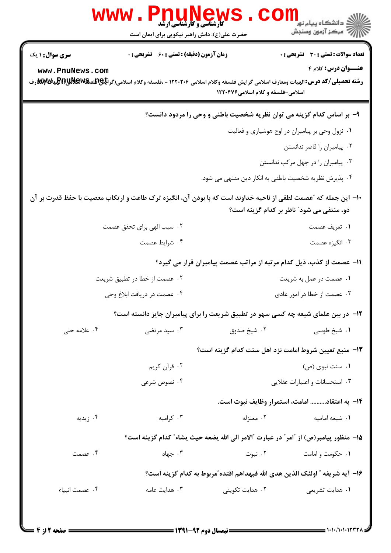|                                           | <b>www.Pnt</b><br><b>کارشناسی و کارشناسی ارشد</b><br>حضرت علی(ع): دانش راهبر نیکویی برای ایمان است                                                                                                   |                                                                                      | ري دانشگاه پيام نور<br>ا <mark>ر</mark> ≫ مرکز آزمهن وسنجش                 |  |  |  |
|-------------------------------------------|------------------------------------------------------------------------------------------------------------------------------------------------------------------------------------------------------|--------------------------------------------------------------------------------------|----------------------------------------------------------------------------|--|--|--|
| <b>سری سوال : ۱ یک</b><br>www.PnuNews.com | زمان آزمون (دقیقه) : تستی : 60 ٪ تشریحی : 0<br><b>رشته تحصیلی/کد درس: ا</b> لهیات ومعارف اسلامی گرایش فلسفه وکلام اسلامی ۱۲۲۰۲۰۶ - ،فلسفه وکلام اسلامی(گرا <b>یاچاهلهیآلا)پایالا)پایالا)</b> پایا با | اسلامی-فلسفه و کلام اسلامی۱۲۲۰۴۷۶                                                    | <b>تعداد سوالات : تستی : 30 ٪ تشریحی : 0</b><br><b>عنــوان درس:</b> کلام ۴ |  |  |  |
|                                           | ۹- بر اساس کدام گزینه می توان نظریه شخصیت باطنی و وحی را مردود دانست؟                                                                                                                                |                                                                                      |                                                                            |  |  |  |
|                                           |                                                                                                                                                                                                      |                                                                                      | ۰۱ نزول وحی بر پیامبران در اوج هوشیاری و فعالیت                            |  |  |  |
|                                           |                                                                                                                                                                                                      |                                                                                      | ۰۲ پیامبران را قاصر ندانستن                                                |  |  |  |
|                                           |                                                                                                                                                                                                      |                                                                                      | ۰۳ پیامبران را در جهل مرکب ندانستن                                         |  |  |  |
|                                           |                                                                                                                                                                                                      | ۰۴ پذیرش نظریه شخصیت باطنی به انکار دین منتهی می شود.                                |                                                                            |  |  |  |
|                                           | ∙ا− این جمله که ″عصمت لطفی از ناحیه خداوند است که با بودن آن، انگیزه ترک طاعت و ارتکاب معصیت با حفظ قدرت بر آن<br>دو، منتفی می شود" ناظر بر کدام گزینه است؟                                          |                                                                                      |                                                                            |  |  |  |
|                                           | ۰۲ سبب الهی برای تحقق عصمت                                                                                                                                                                           |                                                                                      | ٠١ تعريف عصمت                                                              |  |  |  |
|                                           | ۰۴ شرايط عصمت                                                                                                                                                                                        |                                                                                      | ۰۳ انگیزه عصمت                                                             |  |  |  |
|                                           |                                                                                                                                                                                                      | 1۱– عصمت از کذب، ذیل کدام مرتبه از مراتب عصمت پیامبران قرار می گیرد؟                 |                                                                            |  |  |  |
|                                           | ۰۲ عصمت از خطا در تطبیق شریعت                                                                                                                                                                        | ۰۱ عصمت در عمل به شریعت                                                              |                                                                            |  |  |  |
|                                           | ۰۴ عصمت در دریافت ابلاغ وحی                                                                                                                                                                          | ۰۳ عصمت از خطا در امور عادی                                                          |                                                                            |  |  |  |
|                                           | ۱۲- در بین علمای شیعه چه کسی سهو در تطبیق شریعت را برای پیامبران جایز دانسته است؟                                                                                                                    |                                                                                      |                                                                            |  |  |  |
| ۰۴ علامه حلی                              | ۰۳ سید مرتضی                                                                                                                                                                                         | ۰۲ شیخ صدوق                                                                          | ۰۱ شیخ طوسی                                                                |  |  |  |
|                                           |                                                                                                                                                                                                      | <b>۱۳</b> - منبع تعیین شروط امامت نزد اهل سنت کدام گزینه است؟                        |                                                                            |  |  |  |
|                                           | ۰۲ قرآن کريم                                                                                                                                                                                         |                                                                                      | ۰۱ سنت نبوی (ص)                                                            |  |  |  |
|                                           | ۰۴ نصوص شرعی                                                                                                                                                                                         |                                                                                      | ۰۳ استحسانات و اعتبارات عقلایی                                             |  |  |  |
|                                           |                                                                                                                                                                                                      |                                                                                      | <b>۱۴</b> – به اعتقاد امامت، استمرار وظایف نبوت است.                       |  |  |  |
| ۰۴ زیدیه                                  | ۰۳ کرامیه                                                                                                                                                                                            | ۰۲ معتزله                                                                            | ۰۱ شیعه امامیه                                                             |  |  |  |
|                                           |                                                                                                                                                                                                      | 1۵– منظور پیامبر(ص) از "امر" در عبارت "الامر الی الله یضعه حیث یشاء" کدام گزینه است؟ |                                                                            |  |  |  |
| ۰۴ عصمت                                   | ۰۳ جهاد                                                                                                                                                                                              | ۰۲ نبوت                                                                              | ۰۱ حکومت و امامت                                                           |  |  |  |
|                                           |                                                                                                                                                                                                      | ۱۶– آيه شريفه ″ اولئک الذين هدي الله فبهداهم اقتده″مربوط به کدام گزينه است؟          |                                                                            |  |  |  |
| ۰۴ عصمت انبياء                            | ۰۳ هدایت عامه                                                                                                                                                                                        | ۲. هدایت تکوینی                                                                      | ۰۱ هدایت تشریعی                                                            |  |  |  |
|                                           |                                                                                                                                                                                                      |                                                                                      |                                                                            |  |  |  |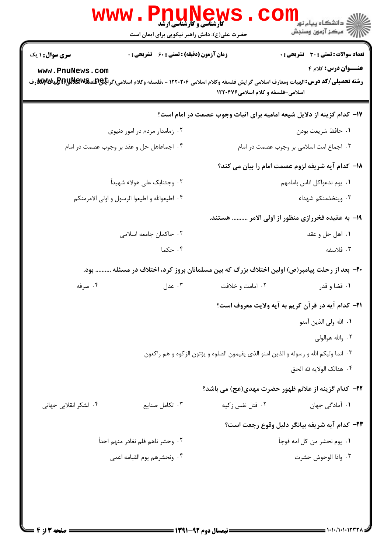|                                           | <b>www.rnunew</b><br><b>گارشناسی و کارشناسی ارشد</b><br>حضرت علی(ع): دانش راهبر نیکویی برای ایمان است |                                   | ڪ دانشڪاه پيا <sub>م</sub> نور ■<br>/> مرڪز آزمون وسنڊش                               |  |  |
|-------------------------------------------|-------------------------------------------------------------------------------------------------------|-----------------------------------|---------------------------------------------------------------------------------------|--|--|
| <b>سری سوال :</b> ۱ یک<br>www.PnuNews.com | <b>زمان آزمون (دقیقه) : تستی : 60 ٪ تشریحی : 0</b>                                                    | اسلامی-فلسفه و کلام اسلامی۱۲۲۰۴۷۶ | تعداد سوالات : تستى : 30 - تشريحي : 0<br><b>عنـــوان درس:</b> کلام ۴                  |  |  |
|                                           |                                                                                                       |                                   | ۱۷- کدام گزینه از دلایل شیعه امامیه برای اثبات وجوب عصمت در امام است؟                 |  |  |
|                                           | ۰۲ زمامدار مردم در امور دنیوی                                                                         |                                   | ٠١ حافظ شريعت بودن                                                                    |  |  |
|                                           | ۰۴ اجماعاهل حل و عقد بر وجوب عصمت در امام                                                             |                                   | ۰۳ اجماع امت اسلامی بر وجوب عصمت در امام                                              |  |  |
|                                           |                                                                                                       |                                   | 18– كدام آيه شريفه لزوم عصمت امام را بيان مي كند؟                                     |  |  |
|                                           | ۲. وجئنابک علی هولاء شهيداً                                                                           |                                   | ٠١. يوم ندعواكل اناس بامامهم                                                          |  |  |
|                                           | ۰۴ اطیعوالله و اطیعوا الرسول و اولی الامرمنکم                                                         |                                   | ۰۳ ویتخذمنکم شهداء                                                                    |  |  |
|                                           |                                                                                                       |                                   | ۱۹– به عقیده فخررازی منظور از اولی الامر  هستند.                                      |  |  |
|                                           | ۰۲ حاکمان جامعه اسلامی                                                                                |                                   | ۰۱ اهل حل و عقد                                                                       |  |  |
|                                           | ۰۴ حکما                                                                                               |                                   | ۰۳ فلاسفه                                                                             |  |  |
|                                           | +۲- بعد از رحلت پیامبر(ص) اولین اختلاف بزرگ که بین مسلمانان بروز کرد، اختلاف در مسئله  بود.           |                                   |                                                                                       |  |  |
| ۰۴ صرفه                                   | ۰۳ عدل                                                                                                | ۰۲ امامت و خلافت                  | ۰۱ قضا و قدر                                                                          |  |  |
|                                           |                                                                                                       |                                   | <b>۲۱</b> – کدام آیه در قرآن کریم به آیه ولایت معروف است؟                             |  |  |
|                                           |                                                                                                       |                                   | ٠١. الله ولي الذين آمنو                                                               |  |  |
|                                           |                                                                                                       |                                   | ۰۲ والله هوالولي                                                                      |  |  |
|                                           |                                                                                                       |                                   | ٠٣ انما وليكم الله و رسوله و الذين امنو الذي يقيمون الصلوه و يؤتون الزكوه و هم راكعون |  |  |
|                                           |                                                                                                       |                                   | ۰۴ هنالک الولايه لله الحق                                                             |  |  |
|                                           |                                                                                                       |                                   | ٢٢–  كدام گزينه از علائم ظهور حضرت مهدي(عج) مي باشد؟                                  |  |  |
| ۰۴ لشکر انقلابی جهانی                     | ۰۳ تکامل صنایع                                                                                        | ۰۲ قتل نفس زکیه                   | ۰۱ آمادگی جهان                                                                        |  |  |
|                                           |                                                                                                       |                                   | ٢٣- كدام آيه شريفه بيانگر دليل وقوع رجعت است؟                                         |  |  |
|                                           | ٠٢ وحشر ناهم فلم نغادر منهم احداً                                                                     |                                   | ٠١. يوم نحشر من كل امه فوجأ                                                           |  |  |
|                                           | ۰۴ ونحشرهم يوم القيامه اعمى                                                                           |                                   | ٠٣ واذا الوحوش حشرت                                                                   |  |  |
|                                           |                                                                                                       |                                   |                                                                                       |  |  |